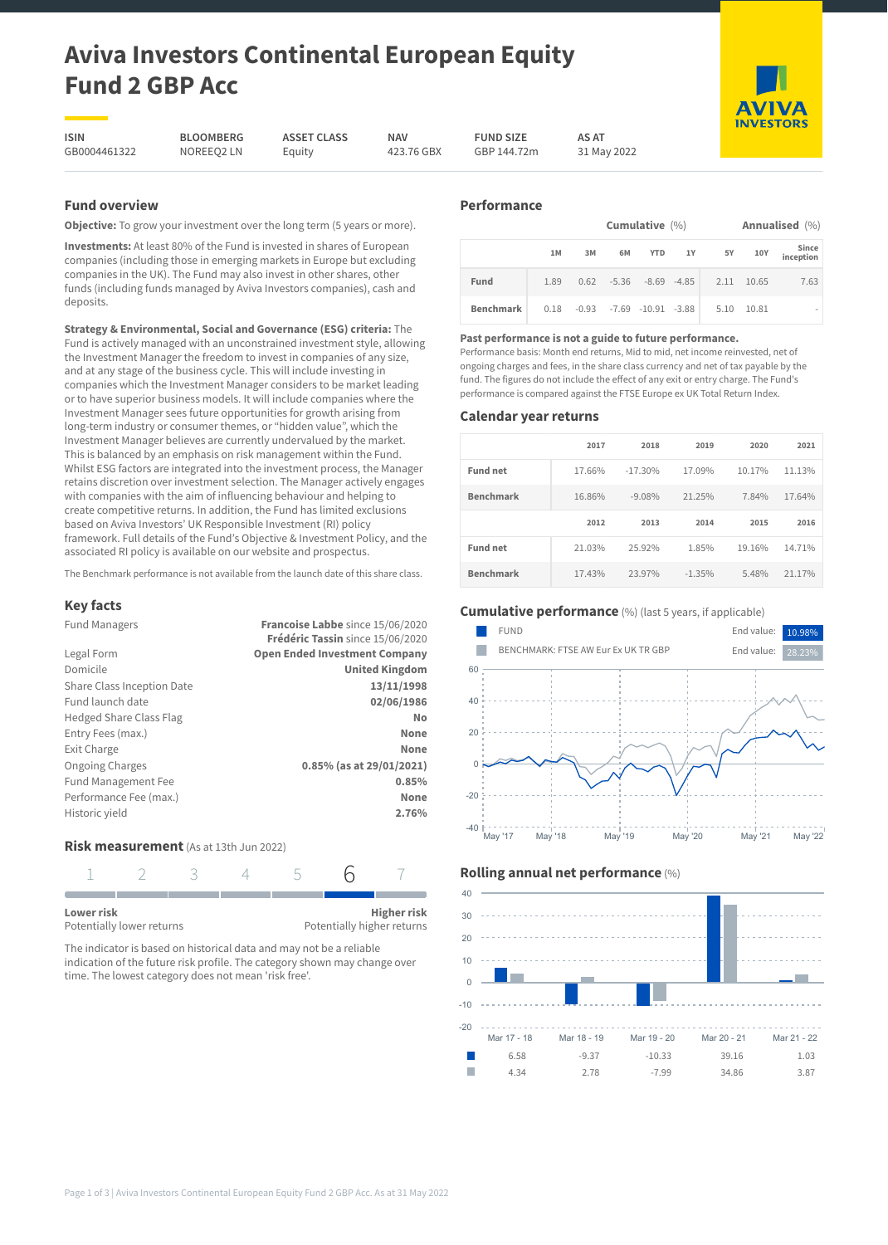# **Aviva Investors Continental European Equity Fund 2 GBP Acc**

**ASSET CLASS** Equity

**ISIN** GB0004461322

**BLOOMBERG** NOREEQ2 LN

**NAV** 423.76 GBX **FUND SIZE** GBP 144.72m

**Performance**

**AS AT** 31 May 2022

# **Fund overview**

**Objective:** To grow your investment over the long term (5 years or more).

**Investments:** At least 80% of the Fund is invested in shares of European companies (including those in emerging markets in Europe but excluding companies in the UK). The Fund may also invest in other shares, other funds (including funds managed by Aviva Investors companies), cash and deposits.

**Strategy & Environmental, Social and Governance (ESG) criteria:** The Fund is actively managed with an unconstrained investment style, allowing the Investment Manager the freedom to invest in companies of any size, and at any stage of the business cycle. This will include investing in companies which the Investment Manager considers to be market leading or to have superior business models. It will include companies where the Investment Manager sees future opportunities for growth arising from long-term industry or consumer themes, or "hidden value", which the Investment Manager believes are currently undervalued by the market. This is balanced by an emphasis on risk management within the Fund. Whilst ESG factors are integrated into the investment process, the Manager retains discretion over investment selection. The Manager actively engages with companies with the aim of influencing behaviour and helping to create competitive returns. In addition, the Fund has limited exclusions based on Aviva Investors' UK Responsible Investment (RI) policy framework. Full details of the Fund's Objective & Investment Policy, and the associated RI policy is available on our website and prospectus.

The Benchmark performance is not available from the launch date of this share class.

# **Key facts**

| <b>Fund Managers</b>           | Francoise Labbe since 15/06/2020<br>Frédéric Tassin since 15/06/2020 |
|--------------------------------|----------------------------------------------------------------------|
| Legal Form                     | <b>Open Ended Investment Company</b>                                 |
| Domicile                       | <b>United Kingdom</b>                                                |
| Share Class Inception Date     | 13/11/1998                                                           |
| Fund launch date               | 02/06/1986                                                           |
| <b>Hedged Share Class Flag</b> | No                                                                   |
| Entry Fees (max.)              | None                                                                 |
| Exit Charge                    | None                                                                 |
| <b>Ongoing Charges</b>         | 0.85% (as at 29/01/2021)                                             |
| Fund Management Fee            | 0.85%                                                                |
| Performance Fee (max.)         | None                                                                 |
| Historic yield                 | 2.76%                                                                |

# **Risk measurement** (As at 13th Jun 2022)

| Lower risk                |  |  | <b>Higher risk</b>         |
|---------------------------|--|--|----------------------------|
| Potentially lower returns |  |  | Potentially higher returns |

The indicator is based on historical data and may not be a reliable indication of the future risk profile. The category shown may change over time. The lowest category does not mean 'risk free'.

| .                |      |                   |    |                                     |  |                                           |       |                    |
|------------------|------|-------------------|----|-------------------------------------|--|-------------------------------------------|-------|--------------------|
|                  |      | Cumulative $(\%)$ |    |                                     |  |                                           |       | Annualised (%)     |
|                  | 1M   | 3M                | 6M |                                     |  | YTD 1Y 5Y                                 | 10Y   | Since<br>inception |
| Fund             | 1.89 |                   |    |                                     |  | $0.62$ $-5.36$ $-8.69$ $-4.85$ 2.11 10.65 |       | 7.63               |
| <b>Benchmark</b> |      |                   |    | $0.18 - 0.93 - 7.69 - 10.91 - 3.88$ |  | 5.10                                      | 10.81 |                    |

### **Past performance is not a guide to future performance.**

Performance basis: Month end returns, Mid to mid, net income reinvested, net of ongoing charges and fees, in the share class currency and net of tax payable by the fund. The figures do not include the effect of any exit or entry charge. The Fund's performance is compared against the FTSE Europe ex UK Total Return Index.

#### **Calendar year returns**

|                  | 2017   | 2018      | 2019   | 2020   | 2021   |
|------------------|--------|-----------|--------|--------|--------|
| <b>Fund net</b>  | 17.66% | $-17.30%$ | 17.09% | 10.17% | 11.13% |
| <b>Benchmark</b> | 16.86% | $-9.08%$  | 21.25% | 7.84%  | 17.64% |
|                  |        |           |        |        |        |
|                  | 2012   | 2013      | 2014   | 2015   | 2016   |
| <b>Fund net</b>  | 21.03% | 25.92%    | 1.85%  | 19.16% | 14.71% |

# **Cumulative performance** (%) (last 5 years, if applicable)







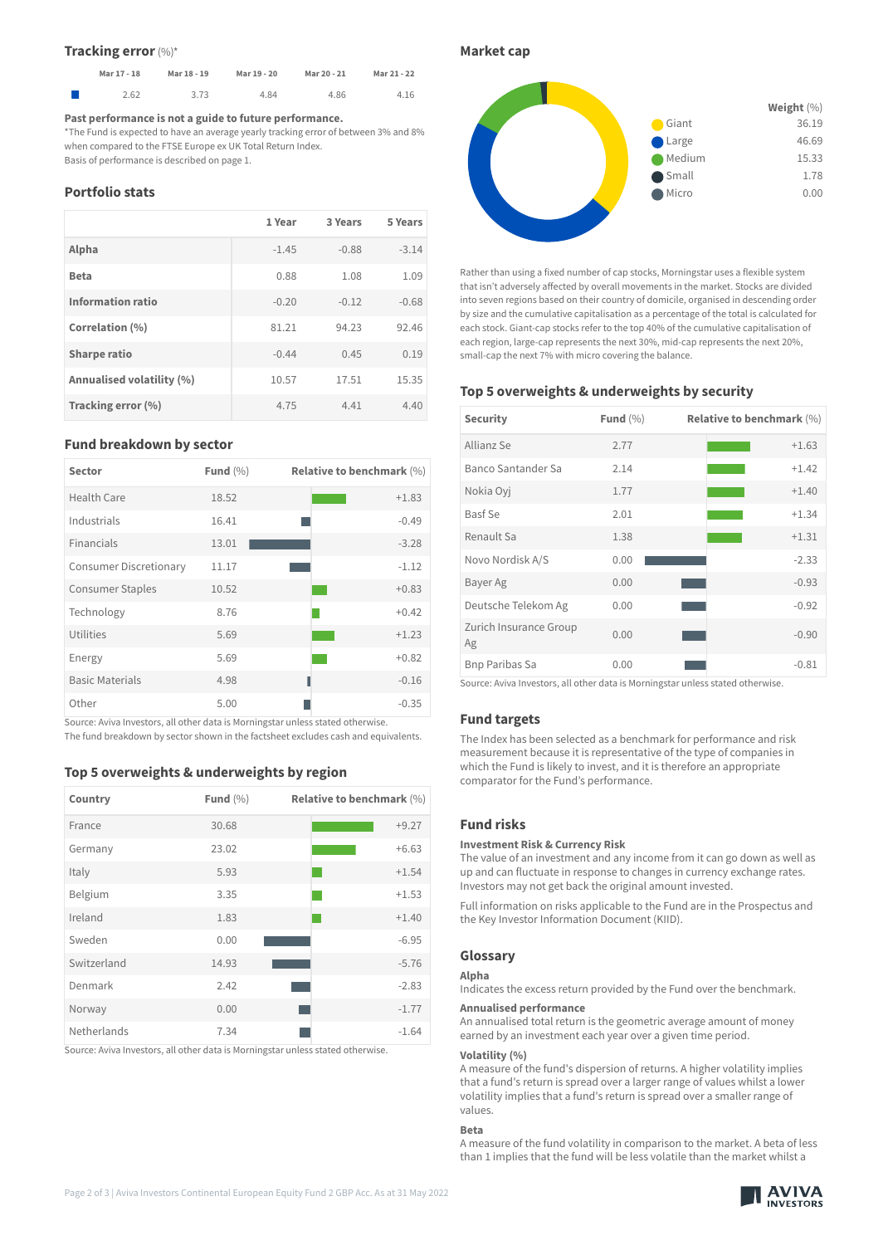#### **Tracking error** (%) \*

| Mar 21 - 22 | Mar 20 - 21 | Mar 19 - 20 | Mar 18 - 19 | Mar 17 - 18 |  |
|-------------|-------------|-------------|-------------|-------------|--|
| 4.16        | 4.86        | 4.84        | 3.73        | 2.62        |  |

#### **Past performance is not a guide to future performance.**

\*The Fund is expected to have an average yearly tracking error of between 3% and 8% when compared to the FTSE Europe ex UK Total Return Index. Basis of performance is described on page 1.

**Portfolio stats**

|                           | 1 Year  | 3 Years | 5 Years |
|---------------------------|---------|---------|---------|
| Alpha                     | $-1.45$ | $-0.88$ | $-3.14$ |
| <b>Beta</b>               | 0.88    | 1.08    | 1.09    |
| Information ratio         | $-0.20$ | $-0.12$ | $-0.68$ |
| Correlation (%)           | 81.21   | 94.23   | 92.46   |
| <b>Sharpe ratio</b>       | $-0.44$ | 0.45    | 0.19    |
| Annualised volatility (%) | 10.57   | 17.51   | 15.35   |
| Tracking error (%)        | 4.75    | 4.41    | 4.40    |

#### **Fund breakdown by sector**

| <b>Sector</b>                 | Fund $(\% )$ | <b>Relative to benchmark (%)</b> |
|-------------------------------|--------------|----------------------------------|
| Health Care                   | 18.52        | $+1.83$                          |
| Industrials                   | 16.41        | $-0.49$                          |
| Financials                    | 13.01        | $-3.28$                          |
| <b>Consumer Discretionary</b> | 11.17        | $-1.12$                          |
| <b>Consumer Staples</b>       | 10.52        | $+0.83$                          |
| Technology                    | 8.76         | $+0.42$                          |
| Utilities                     | 5.69         | $+1.23$                          |
| Energy                        | 5.69         | $+0.82$                          |
| <b>Basic Materials</b>        | 4.98         | $-0.16$                          |
| Other                         | 5.00         | $-0.35$                          |

Source: Aviva Investors, all other data is Morningstar unless stated otherwise. The fund breakdown by sector shown in the factsheet excludes cash and equivalents.

# **Top 5 overweights & underweights by region**

| Country     | Fund $(\% )$ | Relative to benchmark $(\%)$ |
|-------------|--------------|------------------------------|
| France      | 30.68        | $+9.27$                      |
| Germany     | 23.02        | $+6.63$                      |
| Italy       | 5.93         | $+1.54$                      |
| Belgium     | 3.35         | $+1.53$                      |
| Ireland     | 1.83         | $+1.40$                      |
| Sweden      | 0.00         | $-6.95$                      |
| Switzerland | 14.93        | $-5.76$                      |
| Denmark     | 2.42         | $-2.83$                      |
| Norway      | 0.00         | $-1.77$                      |
| Netherlands | 7.34         | $-1.64$                      |

Source: Aviva Investors, all other data is Morningstar unless stated otherwise.

#### **Market cap**



Rather than using a fixed number of cap stocks, Morningstar uses a flexible system that isn't adversely affected by overall movements in the market. Stocks are divided into seven regions based on their country of domicile, organised in descending order by size and the cumulative capitalisation as a percentage of the total is calculated for each stock. Giant-cap stocks refer to the top 40% of the cumulative capitalisation of each region, large-cap represents the next 30%, mid-cap represents the next 20%, small-cap the next 7% with micro covering the balance.

# **Top 5 overweights & underweights by security**

| Security                     | Fund $(\% )$ | <b>Relative to benchmark (%)</b> |
|------------------------------|--------------|----------------------------------|
| Allianz Se                   | 2.77         | $+1.63$                          |
| Banco Santander Sa           | 2.14         | $+1.42$                          |
| Nokia Oyj                    | 1.77         | $+1.40$                          |
| Basf Se                      | 2.01         | $+1.34$                          |
| Renault Sa                   | 1.38         | $+1.31$                          |
| Novo Nordisk A/S             | 0.00         | $-2.33$                          |
| Bayer Ag                     | 0.00         | $-0.93$                          |
| Deutsche Telekom Ag          | 0.00         | $-0.92$                          |
| Zurich Insurance Group<br>Ag | 0.00         | $-0.90$                          |
| <b>Bnp Paribas Sa</b>        | 0.00         | $-0.81$                          |

Source: Aviva Investors, all other data is Morningstar unless stated otherwise.

#### **Fund targets**

The Index has been selected as a benchmark for performance and risk measurement because it is representative of the type of companies in which the Fund is likely to invest, and it is therefore an appropriate comparator for the Fund's performance.

#### **Fund risks**

#### **Investment Risk & Currency Risk**

The value of an investment and any income from it can go down as well as up and can fluctuate in response to changes in currency exchange rates. Investors may not get back the original amount invested.

Full information on risks applicable to the Fund are in the Prospectus and the Key Investor Information Document (KIID).

# **Glossary**

# **Alpha**

Indicates the excess return provided by the Fund over the benchmark.

#### **Annualised performance**

An annualised total return is the geometric average amount of money earned by an investment each year over a given time period.

#### **Volatility (%)**

A measure of the fund's dispersion of returns. A higher volatility implies that a fund's return is spread over a larger range of values whilst a lower volatility implies that a fund's return is spread over a smaller range of values.

#### **Beta**

A measure of the fund volatility in comparison to the market. A beta of less than 1 implies that the fund will be less volatile than the market whilst a